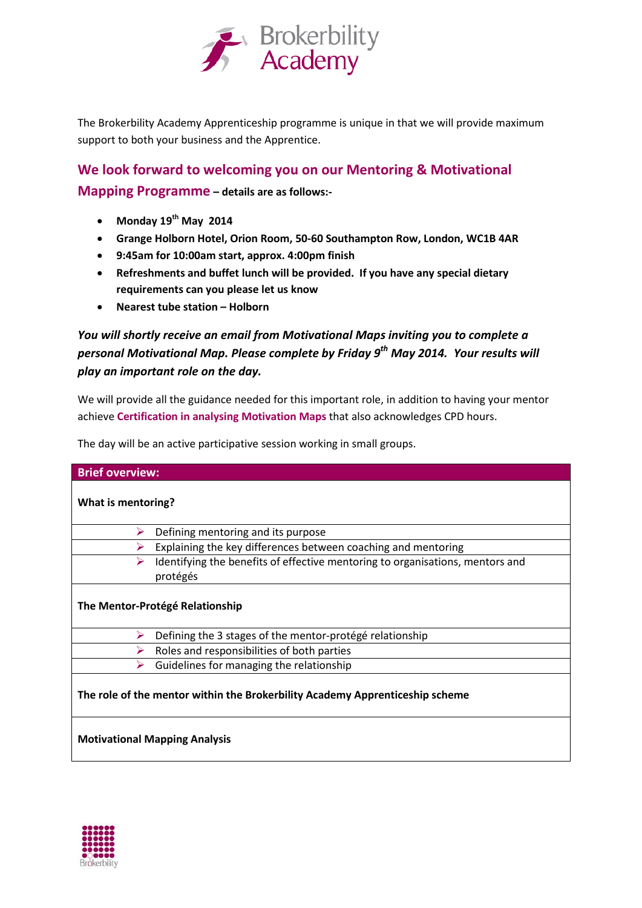

The Brokerbility Academy Apprenticeship programme is unique in that we will provide maximum support to both your business and the Apprentice.

## **We look forward to welcoming you on our Mentoring & Motivational Mapping Programme – details are as follows:-**

- **Monday 19th May 2014**
- **Grange Holborn Hotel, Orion Room, 50-60 Southampton Row, London, WC1B 4AR**
- **9:45am for 10:00am start, approx. 4:00pm finish**
- **Refreshments and buffet lunch will be provided. If you have any special dietary requirements can you please let us know**
- **Nearest tube station – Holborn**

## *You will shortly receive an email from Motivational Maps inviting you to complete a personal Motivational Map. Please complete by Friday 9th May 2014. Your results will play an important role on the day.*

We will provide all the guidance needed for this important role, in addition to having your mentor achieve **Certification in analysing Motivation Maps** that also acknowledges CPD hours.

The day will be an active participative session working in small groups.

| <b>Brief overview:</b>                                                       |                                                                                           |
|------------------------------------------------------------------------------|-------------------------------------------------------------------------------------------|
| What is mentoring?                                                           |                                                                                           |
| ⋗                                                                            | Defining mentoring and its purpose                                                        |
| ⋗                                                                            | Explaining the key differences between coaching and mentoring                             |
| ⋗                                                                            | Identifying the benefits of effective mentoring to organisations, mentors and<br>protégés |
| The Mentor-Protégé Relationship                                              |                                                                                           |
| ⋗                                                                            | Defining the 3 stages of the mentor-protégé relationship                                  |
|                                                                              | Roles and responsibilities of both parties                                                |
| ⋗                                                                            | Guidelines for managing the relationship                                                  |
| The role of the mentor within the Brokerbility Academy Apprenticeship scheme |                                                                                           |
| <b>Motivational Mapping Analysis</b>                                         |                                                                                           |